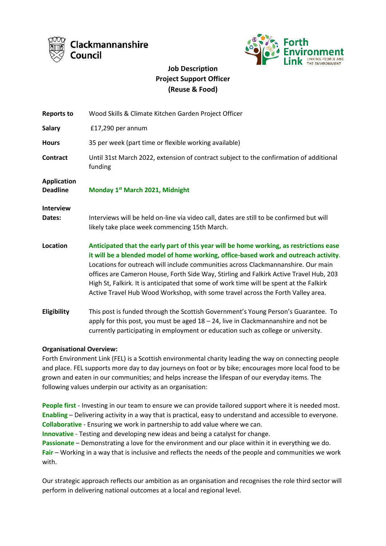



# **Job Description Project Support Officer (Reuse & Food)**

| <b>Reports to</b>                     | Wood Skills & Climate Kitchen Garden Project Officer                                                                                                                                                                                                                                                                                                                                                                                                                                                                                         |
|---------------------------------------|----------------------------------------------------------------------------------------------------------------------------------------------------------------------------------------------------------------------------------------------------------------------------------------------------------------------------------------------------------------------------------------------------------------------------------------------------------------------------------------------------------------------------------------------|
| <b>Salary</b>                         | £17,290 per annum                                                                                                                                                                                                                                                                                                                                                                                                                                                                                                                            |
| <b>Hours</b>                          | 35 per week (part time or flexible working available)                                                                                                                                                                                                                                                                                                                                                                                                                                                                                        |
| Contract                              | Until 31st March 2022, extension of contract subject to the confirmation of additional<br>funding                                                                                                                                                                                                                                                                                                                                                                                                                                            |
| <b>Application</b><br><b>Deadline</b> | Monday 1st March 2021, Midnight                                                                                                                                                                                                                                                                                                                                                                                                                                                                                                              |
| <b>Interview</b><br>Dates:            | Interviews will be held on-line via video call, dates are still to be confirmed but will<br>likely take place week commencing 15th March.                                                                                                                                                                                                                                                                                                                                                                                                    |
| Location                              | Anticipated that the early part of this year will be home working, as restrictions ease<br>it will be a blended model of home working, office-based work and outreach activity.<br>Locations for outreach will include communities across Clackmannanshire. Our main<br>offices are Cameron House, Forth Side Way, Stirling and Falkirk Active Travel Hub, 203<br>High St, Falkirk. It is anticipated that some of work time will be spent at the Falkirk<br>Active Travel Hub Wood Workshop, with some travel across the Forth Valley area. |
| Eligibility                           | This post is funded through the Scottish Government's Young Person's Guarantee. To<br>apply for this post, you must be aged $18 - 24$ , live in Clackmannanshire and not be<br>currently participating in employment or education such as college or university.                                                                                                                                                                                                                                                                             |

# **Organisational Overview:**

Forth Environment Link (FEL) is a Scottish environmental charity leading the way on connecting people and place. FEL supports more day to day journeys on foot or by bike; encourages more local food to be grown and eaten in our communities; and helps increase the lifespan of our everyday items. The following values underpin our activity as an organisation:

**People first** - Investing in our team to ensure we can provide tailored support where it is needed most. **Enabling** – Delivering activity in a way that is practical, easy to understand and accessible to everyone. **Collaborative** - Ensuring we work in partnership to add value where we can. **Innovative** - Testing and developing new ideas and being a catalyst for change. **Passionate** – Demonstrating a love for the environment and our place within it in everything we do.

**Fair** – Working in a way that is inclusive and reflects the needs of the people and communities we work with.

Our strategic approach reflects our ambition as an organisation and recognises the role third sector will perform in delivering national outcomes at a local and regional level.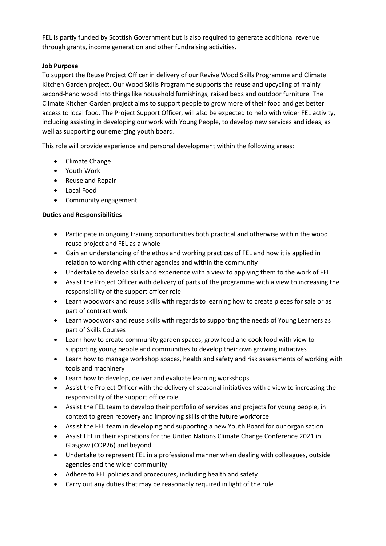FEL is partly funded by Scottish Government but is also required to generate additional revenue through grants, income generation and other fundraising activities.

# **Job Purpose**

To support the Reuse Project Officer in delivery of our Revive Wood Skills Programme and Climate Kitchen Garden project. Our Wood Skills Programme supports the reuse and upcycling of mainly second-hand wood into things like household furnishings, raised beds and outdoor furniture. The Climate Kitchen Garden project aims to support people to grow more of their food and get better access to local food. The Project Support Officer, will also be expected to help with wider FEL activity, including assisting in developing our work with Young People, to develop new services and ideas, as well as supporting our emerging youth board.

This role will provide experience and personal development within the following areas:

- Climate Change
- Youth Work
- Reuse and Repair
- Local Food
- Community engagement

# **Duties and Responsibilities**

- Participate in ongoing training opportunities both practical and otherwise within the wood reuse project and FEL as a whole
- Gain an understanding of the ethos and working practices of FEL and how it is applied in relation to working with other agencies and within the community
- Undertake to develop skills and experience with a view to applying them to the work of FEL
- Assist the Project Officer with delivery of parts of the programme with a view to increasing the responsibility of the support officer role
- Learn woodwork and reuse skills with regards to learning how to create pieces for sale or as part of contract work
- Learn woodwork and reuse skills with regards to supporting the needs of Young Learners as part of Skills Courses
- Learn how to create community garden spaces, grow food and cook food with view to supporting young people and communities to develop their own growing initiatives
- Learn how to manage workshop spaces, health and safety and risk assessments of working with tools and machinery
- Learn how to develop, deliver and evaluate learning workshops
- Assist the Project Officer with the delivery of seasonal initiatives with a view to increasing the responsibility of the support office role
- Assist the FEL team to develop their portfolio of services and projects for young people, in context to green recovery and improving skills of the future workforce
- Assist the FEL team in developing and supporting a new Youth Board for our organisation
- Assist FEL in their aspirations for the United Nations Climate Change Conference 2021 in Glasgow (COP26) and beyond
- Undertake to represent FEL in a professional manner when dealing with colleagues, outside agencies and the wider community
- Adhere to FEL policies and procedures, including health and safety
- Carry out any duties that may be reasonably required in light of the role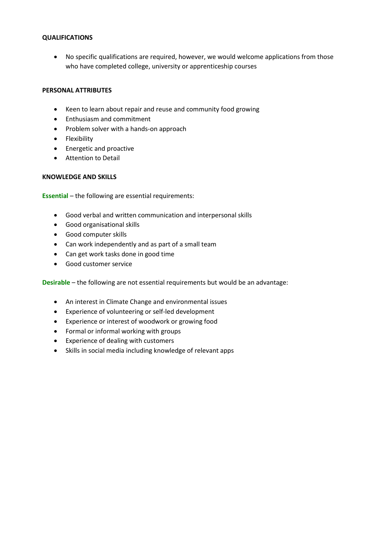#### **QUALIFICATIONS**

• No specific qualifications are required, however, we would welcome applications from those who have completed college, university or apprenticeship courses

# **PERSONAL ATTRIBUTES**

- Keen to learn about repair and reuse and community food growing
- Enthusiasm and commitment
- Problem solver with a hands-on approach
- Flexibility
- Energetic and proactive
- Attention to Detail

#### **KNOWLEDGE AND SKILLS**

**Essential** – the following are essential requirements:

- Good verbal and written communication and interpersonal skills
- Good organisational skills
- Good computer skills
- Can work independently and as part of a small team
- Can get work tasks done in good time
- Good customer service

**Desirable** – the following are not essential requirements but would be an advantage:

- An interest in Climate Change and environmental issues
- Experience of volunteering or self-led development
- Experience or interest of woodwork or growing food
- Formal or informal working with groups
- Experience of dealing with customers
- Skills in social media including knowledge of relevant apps